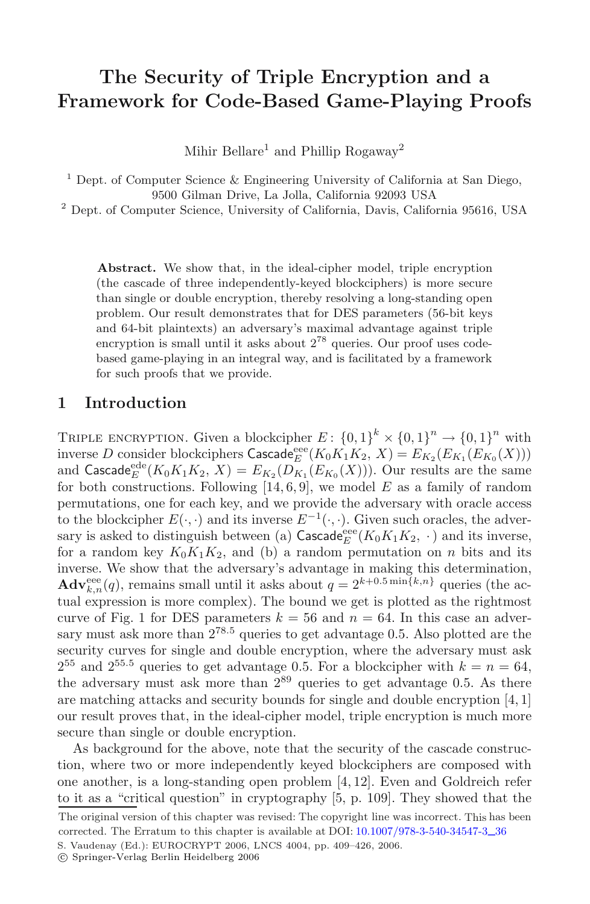# **The Security of Triple Encryption and a Framework for Code-Based Game-Playing Proofs**

Mihir Bellare<sup>1</sup> and Phillip Rogaway<sup>2</sup>

 $^1$  Dept. of Computer Science & Engineering University of California at San Diego, 9500 Gilman Drive, La Jolla, California 92093 USA

<sup>2</sup> Dept. of Computer Science, University of California, Davis, California 95616, USA

**Abstract.** We show that, in the ideal-cipher model, triple encryption (the cascade of three independently-keyed blockciphers) is more secure than single or double encryption, thereby resolving a long-standing open problem. Our result demonstrates that for DES parameters (56-bit keys and 64-bit plaintexts) an adversary's maximal advantage against triple encryption is small until it asks about  $2^{78}$  queries. Our proof uses codebased game-playing in an integral way, and is facilitated by a framework for such proofs that we provide.

#### **1 Introduction**

TRIPLE ENCRYPTION. Given a blockcipher  $E: \{0,1\}^k \times \{0,1\}^n \to \{0,1\}^n$  with inverse D consider blockciphers  $\mathsf{Cascade}^{\rm eee}_{E}(K_0K_1K_2, X) = E_{K_2}(E_{K_1}(E_{K_0}(X)))$ and Cascade<sup>ede</sup>  $(K_0K_1K_2, X) = E_{K_2}(D_{K_1}(E_{K_0}(X)))$ . Our results are the same for both constructions. Following  $[14, 6, 9]$ , we model E as a family of random permutations, one for each key, and we provide the adversary with oracle access to the blockcipher  $E(\cdot, \cdot)$  and its inverse  $E^{-1}(\cdot, \cdot)$ . Given such oracles, the adversary is asked to distinguish between (a)  $\mathsf{Cascade}^\mathrm{eee}_E(K_0K_1K_2, \;\cdot\,)$  and its inverse, for a random key  $K_0K_1K_2$ , and (b) a random permutation on n bits and its inverse. We show that the adversary's advantage in making this determination,  $\mathbf{Adv}_{k,n}^{\text{eee}}(q)$ , remains small until it asks about  $q = 2^{k+0.5 \min\{k,n\}}$  queries (the actual expression is more complex). The bound we get is plotted as the rightmost curve of Fig. 1 for DES parameters  $k = 56$  and  $n = 64$ . In this case an adversary must ask more than  $2^{78.5}$  queries to get advantage 0.5. Also plotted are the security curves for single and double encryption, where the adversary must ask  $2^{55}$  and  $2^{55.5}$  queries to get advantage 0.5. For a blockcipher with  $k = n = 64$ , the adversary must ask more than  $2^{89}$  queries to get advantage 0.5. As there are matching attacks and security bounds for single and double encryption [4, 1] our result proves that, in the ideal-cipher model, triple encryption is much more secure than single or double encryption.

As background for the above, note that the security of the cascade construction, where two or more independently keyed blockciphers are composed with one another, is a long-standing open problem [4, 12]. Even and Goldreich refer to it as a "critical question" in cryptography [5, p. 109]. They showed that the

S. Vaudenay (Ed.): EUROCRYPT 2006, LNCS 4004, pp. 409–426, 2006. The original version of this chapter was revised: The copyright line was incorrect. This has been corrected. The Erratum to this chapter is available at DOI: 10.1007/978-3-540-34547-3*\_*36

<sup>-</sup>c Springer-Verlag Berlin Heidelberg 2006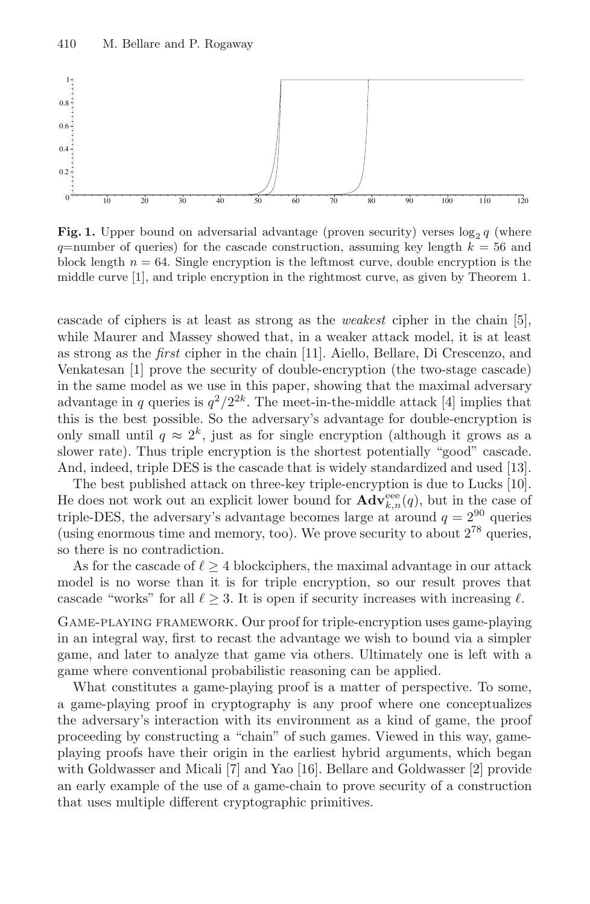

**Fig. 1.** Upper bound on adversarial advantage (proven security) verses  $\log_2 q$  (where  $q$ =number of queries) for the cascade construction, assuming key length  $k = 56$  and block length  $n = 64$ . Single encryption is the leftmost curve, double encryption is the middle curve [1], and triple encryption in the rightmost curve, as given by Theorem 1.

cascade of ciphers is at least as strong as the weakest cipher in the chain [5], while Maurer and Massey showed that, in a weaker attack model, it is at least as strong as the first cipher in the chain [11]. Aiello, Bellare, Di Crescenzo, and Venkatesan [1] prove the security of double-encryption (the two-stage cascade) in the same model as we use in this paper, showing that the maximal adversary advantage in q queries is  $q^2/2^{2k}$ . The meet-in-the-middle attack [4] implies that this is the best possible. So the adversary's advantage for double-encryption is only small until  $q \approx 2^k$ , just as for single encryption (although it grows as a slower rate). Thus triple encryption is the shortest potentially "good" cascade. And, indeed, triple DES is the cascade that is widely standardized and used [13].

The best published attack on three-key triple-encryption is due to Lucks [10]. He does not work out an explicit lower bound for  $\mathbf{Adv}_{k,n}^{\text{eee}}(q)$ , but in the case of triple-DES, the adversary's advantage becomes large at around  $q = 2^{90}$  queries (using enormous time and memory, too). We prove security to about  $2^{78}$  queries, so there is no contradiction.

As for the cascade of  $\ell \geq 4$  blockciphers, the maximal advantage in our attack model is no worse than it is for triple encryption, so our result proves that cascade "works" for all  $\ell \geq 3$ . It is open if security increases with increasing  $\ell$ .

Game-playing framework. Our proof for triple-encryption uses game-playing in an integral way, first to recast the advantage we wish to bound via a simpler game, and later to analyze that game via others. Ultimately one is left with a game where conventional probabilistic reasoning can be applied.

What constitutes a game-playing proof is a matter of perspective. To some, a game-playing proof in cryptography is any proof where one conceptualizes the adversary's interaction with its environment as a kind of game, the proof proceeding by constructing a "chain" of such games. Viewed in this way, gameplaying proofs have their origin in the earliest hybrid arguments, which began with Goldwasser and Micali [7] and Yao [16]. Bellare and Goldwasser [2] provide an early example of the use of a game-chain to prove security of a construction that uses multiple different cryptographic primitives.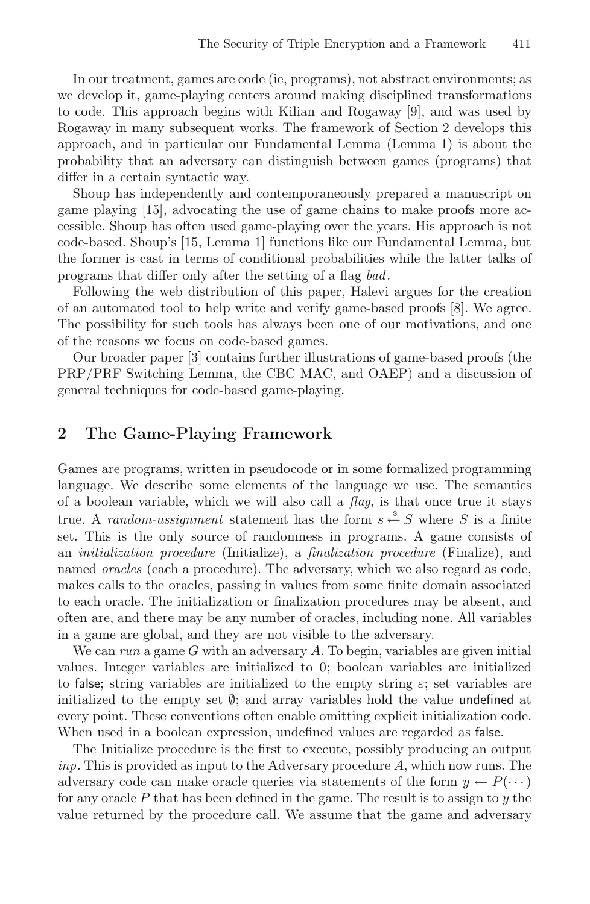In our treatment, games are code (ie, programs), not abstract environments; as we develop it, game-playing centers around making disciplined transformations to code. This approach begins with Kilian and Rogaway [9], and was used by Rogaway in many subsequent works. The framework of Section 2 develops this approach, and in particular our Fundamental Lemma (Lemma 1) is about the probability that an adversary can distinguish between games (programs) that differ in a certain syntactic way.

Shoup has independently and contemporaneously prepared a manuscript on game playing [15], advocating the use of game chains to make proofs more accessible. Shoup has often used game-playing over the years. His approach is not code-based. Shoup's [15, Lemma 1] functions like our Fundamental Lemma, but the former is cast in terms of conditional probabilities while the latter talks of programs that differ only after the setting of a flag bad.

Following the web distribution of this paper, Halevi argues for the creation of an automated tool to help write and verify game-based proofs [8]. We agree. The possibility for such tools has always been one of our motivations, and one of the reasons we focus on code-based games.

Our broader paper [3] contains further illustrations of game-based proofs (the PRP/PRF Switching Lemma, the CBC MAC, and OAEP) and a discussion of general techniques for code-based game-playing.

## **2 The Game-Playing Framework**

Games are programs, written in pseudocode or in some formalized programming language. We describe some elements of the language we use. The semantics of a boolean variable, which we will also call a  $flag$ , is that once true it stays true. A *random-assignment* statement has the form  $s \stackrel{s}{\leftarrow} S$  where S is a finite set. This is the only source of randomness in programs. A game consists of an initialization procedure (Initialize), a finalization procedure (Finalize), and named *oracles* (each a procedure). The adversary, which we also regard as code, makes calls to the oracles, passing in values from some finite domain associated to each oracle. The initialization or finalization procedures may be absent, and often are, and there may be any number of oracles, including none. All variables in a game are global, and they are not visible to the adversary.

We can run a game G with an adversary A. To begin, variables are given initial values. Integer variables are initialized to 0; boolean variables are initialized to false; string variables are initialized to the empty string  $\varepsilon$ ; set variables are initialized to the empty set  $\emptyset$ ; and array variables hold the value undefined at every point. These conventions often enable omitting explicit initialization code. When used in a boolean expression, undefined values are regarded as false.

The Initialize procedure is the first to execute, possibly producing an output  $inp.$  This is provided as input to the Adversary procedure  $A$ , which now runs. The adversary code can make oracle queries via statements of the form  $y \leftarrow P(\cdots)$ for any oracle  $P$  that has been defined in the game. The result is to assign to  $y$  the value returned by the procedure call. We assume that the game and adversary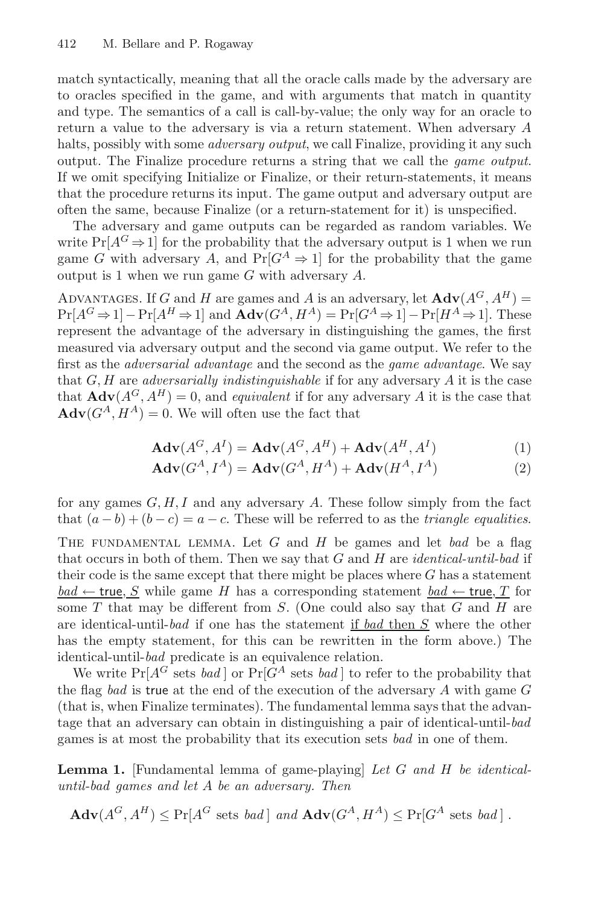match syntactically, meaning that all the oracle calls made by the adversary are to oracles specified in the game, and with arguments that match in quantity and type. The semantics of a call is call-by-value; the only way for an oracle to return a value to the adversary is via a return statement. When adversary A halts, possibly with some *adversary output*, we call Finalize, providing it any such output. The Finalize procedure returns a string that we call the game output. If we omit specifying Initialize or Finalize, or their return-statements, it means that the procedure returns its input. The game output and adversary output are often the same, because Finalize (or a return-statement for it) is unspecified.

The adversary and game outputs can be regarded as random variables. We write  $Pr[A^G \Rightarrow 1]$  for the probability that the adversary output is 1 when we run game G with adversary A, and  $Pr[G^A \Rightarrow 1]$  for the probability that the game output is 1 when we run game  $G$  with adversary  $A$ .

ADVANTAGES. If G and H are games and A is an adversary, let  $\mathbf{Adv}(A^G, A^H)$  =  $Pr[A^G \Rightarrow 1] - Pr[A^H \Rightarrow 1]$  and  $Adv(G^A, H^A) = Pr[G^A \Rightarrow 1] - Pr[H^A \Rightarrow 1]$ . These represent the advantage of the adversary in distinguishing the games, the first measured via adversary output and the second via game output. We refer to the first as the adversarial advantage and the second as the game advantage. We say that  $G, H$  are *adversarially indistinguishable* if for any adversary  $A$  it is the case that  $\mathbf{Adv}(A^G, A^H) = 0$ , and *equivalent* if for any adversary A it is the case that  $\mathbf{Adv}(G^A, H^A) = 0.$  We will often use the fact that

$$
\mathbf{Adv}(A^G, A^I) = \mathbf{Adv}(A^G, A^H) + \mathbf{Adv}(A^H, A^I)
$$
 (1)

$$
\mathbf{Adv}(G^A, I^A) = \mathbf{Adv}(G^A, H^A) + \mathbf{Adv}(H^A, I^A)
$$
\n(2)

for any games  $G, H, I$  and any adversary  $A$ . These follow simply from the fact that  $(a - b) + (b - c) = a - c$ . These will be referred to as the *triangle equalities*.

THE FUNDAMENTAL LEMMA. Let  $G$  and  $H$  be games and let bad be a flag that occurs in both of them. Then we say that  $G$  and  $H$  are *identical-until-bad* if their code is the same except that there might be places where  $G$  has a statement  $bad \leftarrow true, S$  while game H has a corresponding statement  $bad \leftarrow true, T$  for some  $T$  that may be different from  $S$ . (One could also say that  $G$  and  $H$  are are identical-until-bad if one has the statement if bad then S where the other has the empty statement, for this can be rewritten in the form above.) The identical-until-bad predicate is an equivalence relation.

We write  $Pr[A^G]$  sets bad or  $Pr[G^A]$  sets bad or refer to the probability that the flag bad is true at the end of the execution of the adversary  $A$  with game  $G$ (that is, when Finalize terminates). The fundamental lemma says that the advantage that an adversary can obtain in distinguishing a pair of identical-until-bad games is at most the probability that its execution sets bad in one of them.

**Lemma 1.** [Fundamental lemma of game-playing] Let G and H be identicaluntil-bad games and let A be an adversary. Then

$$
\mathbf{Adv}(A^G, A^H) \le \Pr[A^G \text{ sets } bad] \text{ and } \mathbf{Adv}(G^A, H^A) \le \Pr[G^A \text{ sets } bad].
$$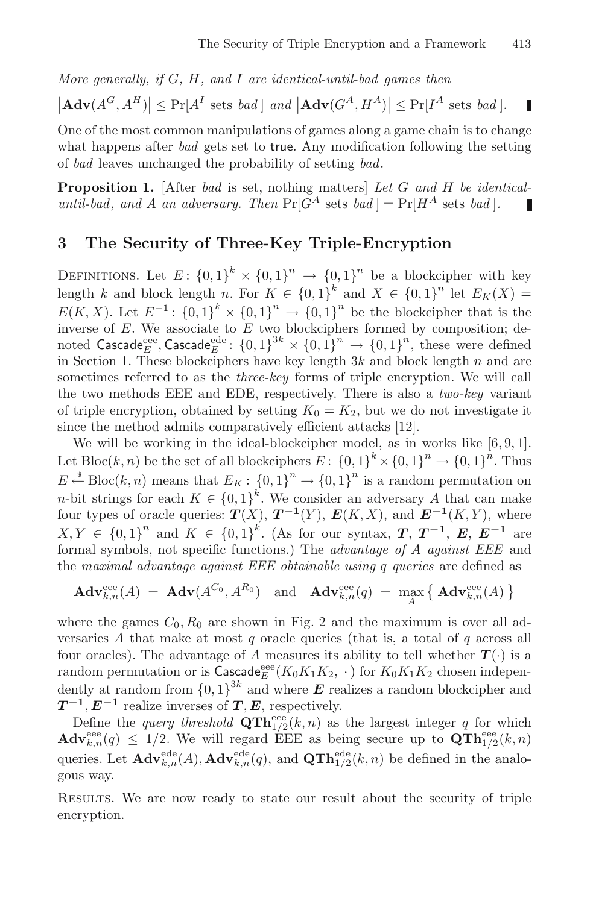П

More generally, if  $G$ ,  $H$ , and  $I$  are identical-until-bad games then

 $|\mathbf{Adv}(A^G, A^H)| \leq \Pr[A^I \text{ sets } bad] \text{ and } |\mathbf{Adv}(G^A, H^A)| \leq \Pr[I^A \text{ sets } bad].$ 

One of the most common manipulations of games along a game chain is to change what happens after *bad* gets set to true. Any modification following the setting of bad leaves unchanged the probability of setting bad.

**Proposition 1.** [After bad is set, nothing matters] Let G and H be identicaluntil-bad, and A an adversary. Then  $Pr[G^A \text{ sets } bad] = Pr[H^A \text{ sets } bad].$ П

## **3 The Security of Three-Key Triple-Encryption**

DEFINITIONS. Let  $E: \{0,1\}^k \times \{0,1\}^n \rightarrow \{0,1\}^n$  be a blockcipher with key length k and block length n. For  $K \in \{0,1\}^k$  and  $X \in \{0,1\}^n$  let  $E_K(X) =$  $E(K, X)$ . Let  $E^{-1}$ :  $\{0, 1\}^k \times \{0, 1\}^n \to \{0, 1\}^n$  be the blockcipher that is the inverse of  $E$ . We associate to  $E$  two blockciphers formed by composition; denoted  $\textsf{Cascade}_{E}^{\text{eee}}, \textsf{Cascade}_{E}^{\text{ede}}: \{0,1\}^{3k} \times \{0,1\}^{n} \to \{0,1\}^{n}, \text{ these were defined}$ in Section 1. These blockciphers have key length  $3k$  and block length n and are sometimes referred to as the *three-key* forms of triple encryption. We will call the two methods EEE and EDE, respectively. There is also a two-key variant of triple encryption, obtained by setting  $K_0 = K_2$ , but we do not investigate it since the method admits comparatively efficient attacks [12].

We will be working in the ideal-blockcipher model, as in works like [6, 9, 1]. Let Bloc(k, n) be the set of all blockciphers  $E: \{0,1\}^k \times \{0,1\}^n \to \{0,1\}^n$ . Thus  $E \stackrel{\hspace{0.1em}\mathsf{\scriptscriptstyle\$}}{\leftarrow} \text{Bloc}(k,n)$  means that  $E_K: \{0,1\}^n \rightarrow \{0,1\}^n$  is a random permutation on *n*-bit strings for each  $K \in \{0,1\}^k$ . We consider an adversary A that can make four types of oracle queries:  $T(X)$ ,  $T^{-1}(Y)$ ,  $E(K, X)$ , and  $E^{-1}(K, Y)$ , where  $X, Y \in \{0, 1\}^n$  and  $K \in \{0, 1\}^k$ . (As for our syntax, *T*, *T*<sup>−1</sup>, *E*, *E*<sup>−1</sup> are formal symbols, not specific functions.) The advantage of A against EEE and the maximal advantage against EEE obtainable using q queries are defined as

$$
\mathbf{Adv}_{k,n}^{\text{eee}}(A) = \mathbf{Adv}(A^{C_0}, A^{R_0}) \text{ and } \mathbf{Adv}_{k,n}^{\text{eee}}(q) = \max_{A} \left\{ \mathbf{Adv}_{k,n}^{\text{eee}}(A) \right\}
$$

where the games  $C_0$ ,  $R_0$  are shown in Fig. 2 and the maximum is over all adversaries  $A$  that make at most  $q$  oracle queries (that is, a total of  $q$  across all four oracles). The advantage of A measures its ability to tell whether  $T(\cdot)$  is a random permutation or is  $\tilde{\text{C}ascade}^{\text{eee}}(K_0K_1K_2, \cdot)$  for  $K_0K_1K_2$  chosen independently at random from  $\{0,1\}^{3k}$  and where  $E$  realizes a random blockcipher and  $T^{-1}, E^{-1}$  realize inverses of *T*, *E*, respectively.

Define the *query threshold*  $\mathbf{QTh}_{1/2}^{\text{eee}}(k, n)$  as the largest integer q for which  $\mathbf{Adv}_{k,n}^{\text{eee}}(q) \leq 1/2$ . We will regard EEE as being secure up to  $\mathbf{QTh}_{1/2}^{\text{eee}}(k,n)$ queries. Let  $\mathbf{Adv}_{k,n}^{\text{ede}}(A), \mathbf{Adv}_{k,n}^{\text{ede}}(q),$  and  $\mathbf{QTh}_{1/2}^{\text{ede}}(k,n)$  be defined in the analogous way.

RESULTS. We are now ready to state our result about the security of triple encryption.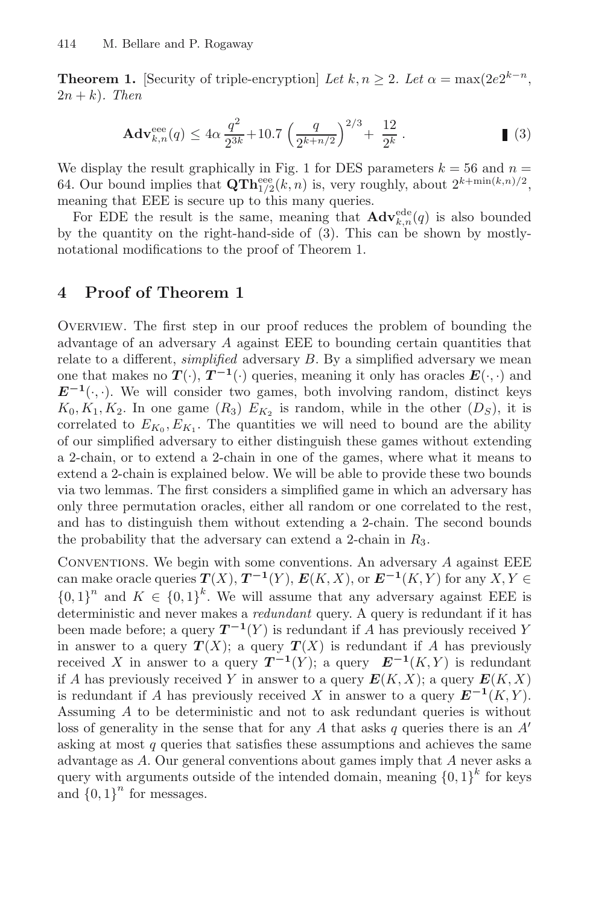**Theorem 1.** [Security of triple-encryption] Let  $k, n \geq 2$ . Let  $\alpha = \max(2e^{2k-n})$ ,  $2n + k$ ). Then

$$
\mathbf{Adv}_{k,n}^{\text{eee}}(q) \le 4\alpha \frac{q^2}{2^{3k}} + 10.7 \left(\frac{q}{2^{k+n/2}}\right)^{2/3} + \frac{12}{2^k} \,. \tag{3}
$$

We display the result graphically in Fig. 1 for DES parameters  $k = 56$  and  $n =$ 64. Our bound implies that  $\mathbf{QTh}_{1/2}^{\text{eee}}(k, n)$  is, very roughly, about  $2^{k+\min(k,n)/2}$ , meaning that EEE is secure up to this many queries.

For EDE the result is the same, meaning that  $\mathbf{Adv}_{k,n}^{\text{ede}}(q)$  is also bounded by the quantity on the right-hand-side of (3). This can be shown by mostlynotational modifications to the proof of Theorem 1.

## **4 Proof of Theorem 1**

Overview. The first step in our proof reduces the problem of bounding the advantage of an adversary A against EEE to bounding certain quantities that relate to a different, *simplified* adversary  $B$ . By a simplified adversary we mean one that makes no  $T(\cdot)$ ,  $T^{-1}(\cdot)$  queries, meaning it only has oracles  $E(\cdot, \cdot)$  and  $E^{-1}(\cdot, \cdot)$ . We will consider two games, both involving random, distinct keys  $K_0, K_1, K_2$ . In one game  $(R_3)$   $E_{K_2}$  is random, while in the other  $(D_S)$ , it is correlated to  $E_{K_0}, E_{K_1}$ . The quantities we will need to bound are the ability of our simplified adversary to either distinguish these games without extending a 2-chain, or to extend a 2-chain in one of the games, where what it means to extend a 2-chain is explained below. We will be able to provide these two bounds via two lemmas. The first considers a simplified game in which an adversary has only three permutation oracles, either all random or one correlated to the rest, and has to distinguish them without extending a 2-chain. The second bounds the probability that the adversary can extend a 2-chain in  $R_3$ .

Conventions. We begin with some conventions. An adversary A against EEE can make oracle queries  $T(X)$ ,  $T^{-1}(Y)$ ,  $E(K, X)$ , or  $E^{-1}(K, Y)$  for any  $X, Y \in$  ${0,1}^n$  and  $K \in {0,1}^k$ . We will assume that any adversary against EEE is deterministic and never makes a redundant query. A query is redundant if it has been made before; a query  $T^{-1}(Y)$  is redundant if A has previously received Y in answer to a query  $T(X)$ ; a query  $T(X)$  is redundant if A has previously received X in answer to a query  $T^{-1}(Y)$ ; a query  $E^{-1}(K, Y)$  is redundant if A has previously received Y in answer to a query  $E(K, X)$ ; a query  $E(K, X)$ is redundant if A has previously received X in answer to a query  $E^{-1}(K, Y)$ . Assuming A to be deterministic and not to ask redundant queries is without loss of generality in the sense that for any A that asks q queries there is an  $A'$ asking at most  $q$  queries that satisfies these assumptions and achieves the same advantage as A. Our general conventions about games imply that A never asks a query with arguments outside of the intended domain, meaning  ${0, 1}^k$  for keys and  ${0,1}^n$  for messages.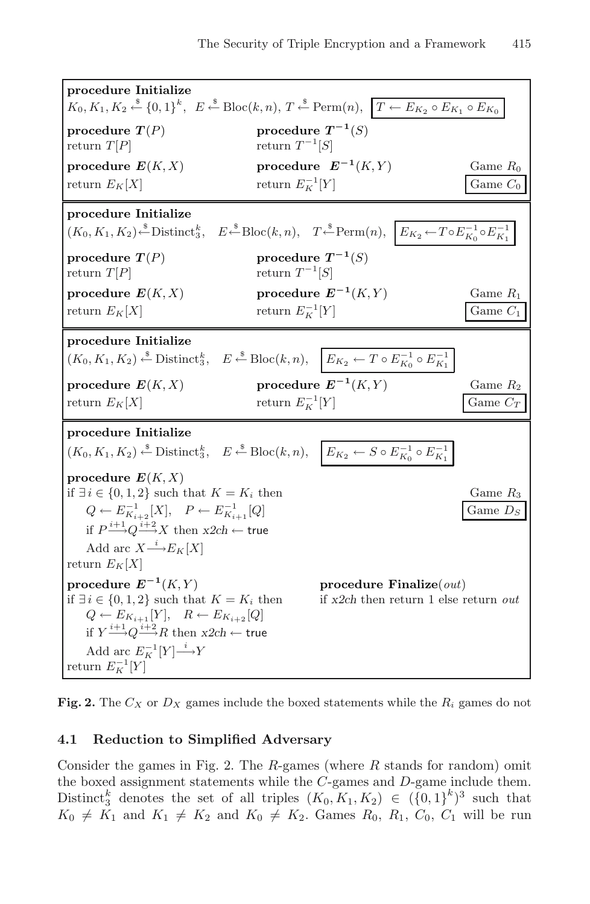| procedure Initialize<br>$K_0, K_1, K_2 \stackrel{\$}{\leftarrow} \{0,1\}^k$ , $E \stackrel{\$}{\leftarrow} \text{Block}(k,n)$ , $T \stackrel{\$}{\leftarrow} \text{Perm}(n)$ , $T \leftarrow E_{K_2} \circ E_{K_1} \circ E_{K_0}$                                                                                               |                                                                                                                                                                                  |                          |  |  |
|---------------------------------------------------------------------------------------------------------------------------------------------------------------------------------------------------------------------------------------------------------------------------------------------------------------------------------|----------------------------------------------------------------------------------------------------------------------------------------------------------------------------------|--------------------------|--|--|
| procedure $T(P)$<br>return $T[P]$                                                                                                                                                                                                                                                                                               | procedure $T^{-1}(S)$<br>return $T^{-1}[S]$                                                                                                                                      |                          |  |  |
| procedure $E(K, X)$<br>return $E_K[X]$                                                                                                                                                                                                                                                                                          | procedure $E^{-1}(K,Y)$<br>return $E_K^{-1}[Y]$                                                                                                                                  | Game $R_0$<br>Game $C_0$ |  |  |
| procedure Initialize<br>$(K_0, K_1, K_2) \stackrel{\text{s}}{\leftarrow} \text{Distinct}_3^k$ , $E \stackrel{\text{s}}{\leftarrow} \text{Block}(k, n)$ , $T \stackrel{\text{s}}{\leftarrow} \text{Perm}(n)$ , $E_{K_2} \leftarrow T \circ E_{K_0}^{-1} \circ E_{K_1}^{-1}$                                                      |                                                                                                                                                                                  |                          |  |  |
| procedure $T(P)$<br>return $T[P]$                                                                                                                                                                                                                                                                                               | procedure $T^{-1}(S)$<br>return $T^{-1}[S]$                                                                                                                                      |                          |  |  |
| procedure $E(K, X)$<br>return $E_K[X]$                                                                                                                                                                                                                                                                                          | procedure $E^{-1}(K,Y)$<br>return $E_K^{-1}[Y]$                                                                                                                                  | Game $R_1$<br>Game $C_1$ |  |  |
| procedure Initialize<br>$(K_0, K_1, K_2) \stackrel{\hspace{0.1em}\mathsf{\scriptscriptstyle\$}}{\leftarrow} \mathsf{Distinct}_3^k, \quad E \stackrel{\hspace{0.1em}\mathsf{\scriptscriptstyle\$}}{\leftarrow} \mathsf{Bloc}(k, n), \quad \Big  E_{K_2} \leftarrow T \circ E_{K_0}^{-1} \circ E_{K_1}^{-1}$                      |                                                                                                                                                                                  |                          |  |  |
| procedure $E(K, X)$<br>return $E_K[X]$                                                                                                                                                                                                                                                                                          | procedure $E^{-1}(K,Y)$<br>return $E_K^{-1}[Y]$                                                                                                                                  | Game $R_2$<br>Game $C_T$ |  |  |
| procedure Initialize                                                                                                                                                                                                                                                                                                            | $(K_0, K_1, K_2) \stackrel{\$}{\leftarrow} \text{Distinct}_3^k$ , $E \stackrel{\$}{\leftarrow} \text{Bloc}(k, n)$ , $E_{K_2} \leftarrow S \circ E_{K_0}^{-1} \circ E_{K_1}^{-1}$ |                          |  |  |
| procedure $E(K, X)$<br>if $\exists i \in \{0, 1, 2\}$ such that $K = K_i$ then<br>Game $R_3$<br>$Q \leftarrow E_{K_{i+2}}^{-1}[X], \quad P \leftarrow E_{K_{i+1}}^{-1}[Q]$<br>Game $D_S$<br>if $P \xrightarrow{i+1} Q \xrightarrow{i+2} X$ then $x2ch \leftarrow$ true<br>Add arc $X \xrightarrow{i} E_K[X]$<br>return $E_K[X]$ |                                                                                                                                                                                  |                          |  |  |
| procedure $E^{-1}(K,Y)$<br>if $\exists i \in \{0, 1, 2\}$ such that $K = K_i$ then<br>$Q \leftarrow E_{K_{i+1}}[Y], \quad R \leftarrow E_{K_{i+2}}[Q]$<br>if $Y \xrightarrow{i+1} Q \xrightarrow{i+2} R$ then $x2ch \leftarrow$ true<br>Add arc $E_K^{-1}[Y] \stackrel{i}{\longrightarrow} Y$<br>return $E_K^{-1}[Y]$           | procedure Finalize $\text{(out)}$<br>if $x2ch$ then return 1 else return out                                                                                                     |                          |  |  |

**Fig. 2.** The  $C_X$  or  $D_X$  games include the boxed statements while the  $R_i$  games do not

#### **4.1 Reduction to Simplified Adversary**

Consider the games in Fig. 2. The  $R$ -games (where  $R$  stands for random) omit the boxed assignment statements while the C-games and D-game include them. Distinct<sup>k</sup><sub>3</sub> denotes the set of all triples  $(K_0, K_1, K_2) \in (\{0, 1\}^k)^3$  such that  $K_0 \neq K_1$  and  $K_1 \neq K_2$  and  $K_0 \neq K_2$ . Games  $R_0$ ,  $R_1$ ,  $C_0$ ,  $C_1$  will be run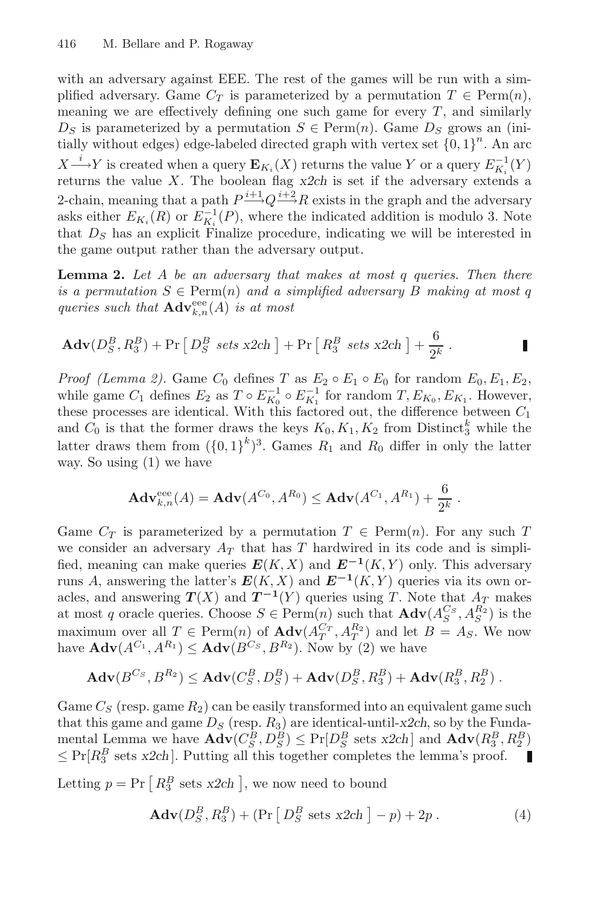with an adversary against EEE. The rest of the games will be run with a simplified adversary. Game  $C_T$  is parameterized by a permutation  $T \in \text{Perm}(n)$ , meaning we are effectively defining one such game for every  $T$ , and similarly  $D<sub>S</sub>$  is parameterized by a permutation  $S \in \text{Perm}(n)$ . Game  $D<sub>S</sub>$  grows an (initially without edges) edge-labeled directed graph with vertex set  ${0, 1}^n$ . An arc  $X \xrightarrow{i} Y$  is created when a query  $\mathbf{E}_{K_i}(X)$  returns the value Y or a query  $E_{K_i}^{-1}(Y)$ returns the value  $X$ . The boolean flag  $x2ch$  is set if the adversary extends a 2-chain, meaning that a path  $P^{i+1}Q^{i+2}R$  exists in the graph and the adversary asks either  $E_{K_i}(R)$  or  $E_{K_i}^{-1}(P)$ , where the indicated addition is modulo 3. Note that  $D<sub>S</sub>$  has an explicit Finalize procedure, indicating we will be interested in the game output rather than the adversary output.

**Lemma 2.** Let A be an adversary that makes at most q queries. Then there is a permutation  $S \in \text{Perm}(n)$  and a simplified adversary B making at most q queries such that  $\mathbf{Adv}_{k,n}^{\text{eee}}(A)$  is at most

$$
\mathbf{Adv}(D_S^B, R_3^B) + \Pr[D_S^B \ \text{sets x2ch} ] + \Pr[R_3^B \ \text{sets x2ch} ] + \frac{6}{2^k} \, .
$$

*Proof (Lemma 2).* Game  $C_0$  defines  $T$  as  $E_2 \circ E_1 \circ E_0$  for random  $E_0, E_1, E_2$ , while game  $C_1$  defines  $E_2$  as  $T \circ E_{K_0}^{-1} \circ E_{K_1}^{-1}$  for random  $T, E_{K_0}, E_{K_1}$ . However, these processes are identical. With this factored out, the difference between  $C_1$ and  $C_0$  is that the former draws the keys  $K_0, K_1, K_2$  from Distinct<sup>k</sup><sub>3</sub> while the latter draws them from  $({0,1})^k$ <sup>3</sup>. Games  $R_1$  and  $R_0$  differ in only the latter way. So using (1) we have

$$
Adv_{k,n}^{eee}(A) = Adv(A^{C_0}, A^{R_0}) \le Adv(A^{C_1}, A^{R_1}) + \frac{6}{2^k}.
$$

Game  $C_T$  is parameterized by a permutation  $T \in \text{Perm}(n)$ . For any such T we consider an adversary  $A_T$  that has T hardwired in its code and is simplified, meaning can make queries  $E(K, X)$  and  $E^{-1}(K, Y)$  only. This adversary runs A, answering the latter's  $E(K, X)$  and  $E^{-1}(K, Y)$  queries via its own oracles, and answering  $T(X)$  and  $T^{-1}(Y)$  queries using T. Note that  $A_T$  makes at most q oracle queries. Choose  $S \in \text{Perm}(n)$  such that  $\text{Adv}(A_S^{Cs}, A_S^{R_2})$  is the maximum over all  $T \in \text{Perm}(n)$  of  $\text{Adv}(A_T^{C_T}, A_T^{R_2})$  and let  $B = A_S$ . We now have  $\mathbf{Adv}(A^{C_1}, A^{R_1}) \leq \mathbf{Adv}(B^{C_S}, B^{R_2})$ . Now by (2) we have

$$
\mathbf{Adv}(B^{C_S}, B^{R_2}) \leq \mathbf{Adv}(C_S^B, D_S^B) + \mathbf{Adv}(D_S^B, R_3^B) + \mathbf{Adv}(R_3^B, R_2^B).
$$

Game  $C_S$  (resp. game  $R_2$ ) can be easily transformed into an equivalent game such that this game and game  $D<sub>S</sub>$  (resp.  $R<sub>3</sub>$ ) are identical-until-x2ch, so by the Fundamental Lemma we have  $\mathbf{Adv}(C_S^B, D_S^B) \leq \Pr[D_S^B \text{ sets } x2ch]$  and  $\mathbf{Adv}(R_3^B, R_2^B)$  $\leq \Pr[R_3^B \text{ sets } x2ch]$ . Putting all this together completes the lemma's proof.  $\sim$ 

Letting  $p = Pr \left[ R_3^B \text{ sets } x2ch \right]$ , we now need to bound

$$
\mathbf{Adv}(D_S^B, R_3^B) + (\Pr\left[D_S^B \text{ sets } x2ch\right] - p) + 2p.
$$
 (4)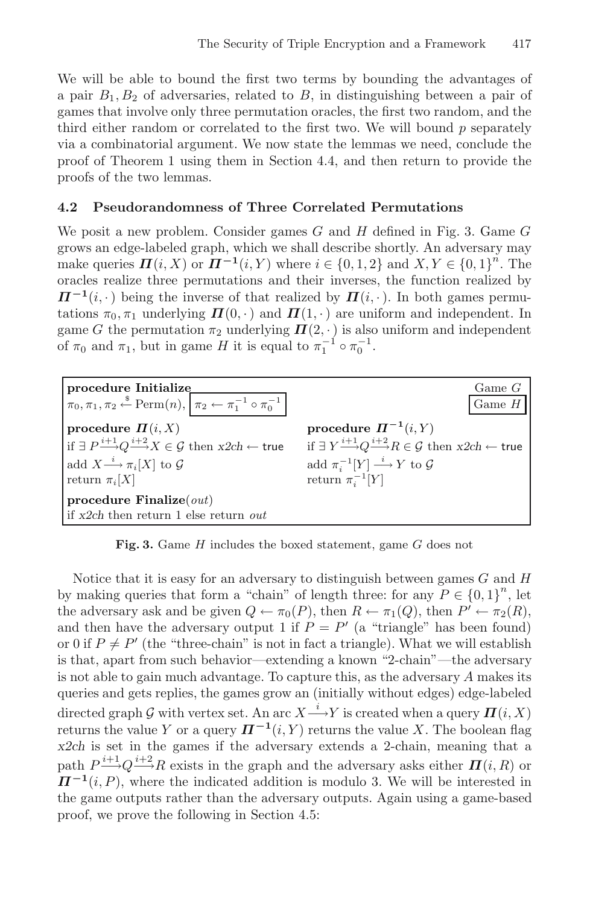We will be able to bound the first two terms by bounding the advantages of a pair  $B_1, B_2$  of adversaries, related to  $B$ , in distinguishing between a pair of games that involve only three permutation oracles, the first two random, and the third either random or correlated to the first two. We will bound  $p$  separately via a combinatorial argument. We now state the lemmas we need, conclude the proof of Theorem 1 using them in Section 4.4, and then return to provide the proofs of the two lemmas.

#### **4.2 Pseudorandomness of Three Correlated Permutations**

We posit a new problem. Consider games  $G$  and  $H$  defined in Fig. 3. Game  $G$ grows an edge-labeled graph, which we shall describe shortly. An adversary may make queries  $\Pi(i, X)$  or  $\Pi^{-1}(i, Y)$  where  $i \in \{0, 1, 2\}$  and  $X, Y \in \{0, 1\}^n$ . The oracles realize three permutations and their inverses, the function realized by  $\Pi^{-1}(i, \cdot)$  being the inverse of that realized by  $\Pi(i, \cdot)$ . In both games permutations  $\pi_0$ ,  $\pi_1$  underlying  $\mathbf{\Pi}(0, \cdot)$  and  $\mathbf{\Pi}(1, \cdot)$  are uniform and independent. In game G the permutation  $\pi_2$  underlying  $\Pi(2, \cdot)$  is also uniform and independent of  $\pi_0$  and  $\pi_1$ , but in game H it is equal to  $\pi_1^{-1} \circ \pi_0^{-1}$ .



**Fig. 3.** Game H includes the boxed statement, game G does not

Notice that it is easy for an adversary to distinguish between games  $G$  and  $H$ by making queries that form a "chain" of length three: for any  $P \in \{0,1\}^n$ , let the adversary ask and be given  $Q \leftarrow \pi_0(P)$ , then  $R \leftarrow \pi_1(Q)$ , then  $P' \leftarrow \pi_2(R)$ , and then have the adversary output 1 if  $P = P'$  (a "triangle" has been found) or 0 if  $P \neq P'$  (the "three-chain" is not in fact a triangle). What we will establish is that, apart from such behavior—extending a known "2-chain"—the adversary is not able to gain much advantage. To capture this, as the adversary A makes its queries and gets replies, the games grow an (initially without edges) edge-labeled directed graph G with vertex set. An arc  $X \xrightarrow{i} Y$  is created when a query  $\Pi(i, X)$ returns the value Y or a query  $\Pi^{-1}(i, Y)$  returns the value X. The boolean flag x2ch is set in the games if the adversary extends a 2-chain, meaning that a path  $P^{i+1}_{\longrightarrow} Q^{i+2}_{\longrightarrow} R$  exists in the graph and the adversary asks either  $\mathbf{\Pi}(i, R)$  or  $\Pi^{-1}(i, P)$ , where the indicated addition is modulo 3. We will be interested in the game outputs rather than the adversary outputs. Again using a game-based proof, we prove the following in Section 4.5: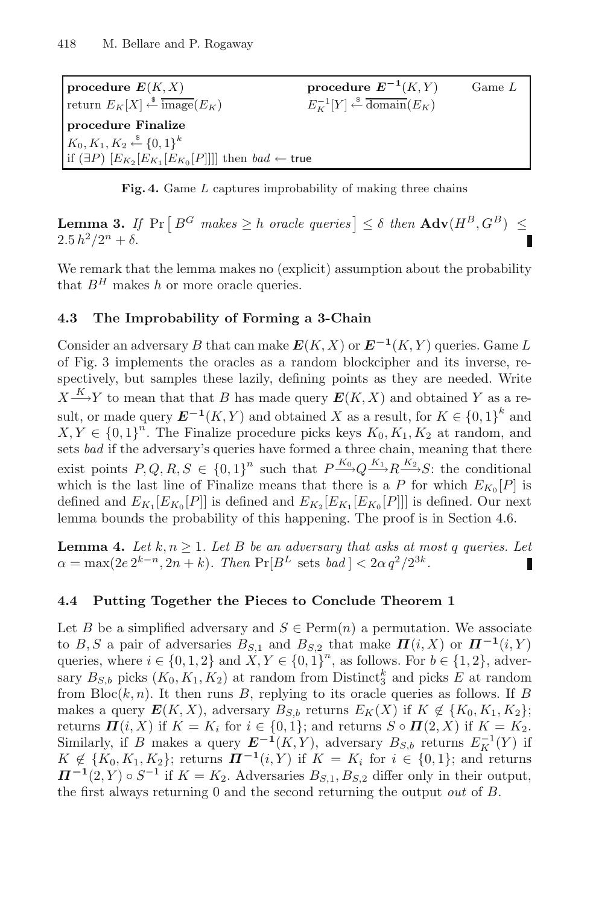**procedure**  $E(K, X)$  **procedure**  $E^{-1}(K, Y)$  Game L return  $E_K[X] \stackrel{\$}{\leftarrow} \overline{\text{image}}(E_K)$   $E_K^{-1}$  $\frac{N-1}{K}[Y] \stackrel{\$}{\leftarrow} \overline{\text{domain}}(E_K)$ **procedure Finalize**  $K_0, K_1, K_2 \stackrel{\$}{\leftarrow} \{0,1\}^k$ if (∃P)  $[E_{K_2} [E_{K_1} [E_{K_0} [P]]]]$  then  $bad \leftarrow$  true

**Fig. 4.** Game L captures improbability of making three chains

**Lemma 3.** If  $Pr\left[B^G \text{ makes } \geq h \text{ oracle queries}\right] \leq \delta \text{ then } \mathbf{Adv}(H^B, G^B) \leq$  $2.5 h<sup>2</sup>/2<sup>n</sup> + \delta.$ 

We remark that the lemma makes no (explicit) assumption about the probability that  $B^H$  makes h or more oracle queries.

#### **4.3 The Improbability of Forming a 3-Chain**

Consider an adversary B that can make  $E(K, X)$  or  $E^{-1}(K, Y)$  queries. Game L of Fig. 3 implements the oracles as a random blockcipher and its inverse, respectively, but samples these lazily, defining points as they are needed. Write  $X \xrightarrow{K} Y$  to mean that that B has made query  $E(K, X)$  and obtained Y as a result, or made query  $E^{-1}(K, Y)$  and obtained X as a result, for  $K \in \{0, 1\}^k$  and  $X, Y \in \{0,1\}^n$ . The Finalize procedure picks keys  $K_0, K_1, K_2$  at random, and sets *bad* if the adversary's queries have formed a three chain, meaning that there exist points  $P, Q, R, S \in \{0, 1\}^n$  such that  $P \xrightarrow{K_0} Q \xrightarrow{K_1} R \xrightarrow{K_2} S$ : the conditional which is the last line of Finalize means that there is a P for which  $E_{K_0}[P]$  is defined and  $E_{K_1}[E_{K_0}[P]]$  is defined and  $E_{K_2}[E_{K_1}[E_{K_0}[P]]]$  is defined. Our next lemma bounds the probability of this happening. The proof is in Section 4.6.

**Lemma 4.** Let  $k, n \geq 1$ . Let B be an adversary that asks at most q queries. Let  $\alpha = \max(2e^{2k-n}, 2n+k)$ . Then  $\Pr[B^L \text{ sets } bad] < 2\alpha q^2/2^{3k}$ .

#### **4.4 Putting Together the Pieces to Conclude Theorem 1**

Let B be a simplified adversary and  $S \in \text{Perm}(n)$  a permutation. We associate to B, S a pair of adversaries  $B_{S,1}$  and  $B_{S,2}$  that make  $\Pi(i, X)$  or  $\Pi^{-1}(i, Y)$ queries, where  $i \in \{0, 1, 2\}$  and  $X, Y \in \{0, 1\}^n$ , as follows. For  $b \in \{1, 2\}$ , adversary  $B_{S,b}$  picks  $(K_0, K_1, K_2)$  at random from Distinct<sup>k</sup><sub>3</sub> and picks E at random from  $Bloc(k, n)$ . It then runs B, replying to its oracle queries as follows. If B makes a query  $E(K, X)$ , adversary  $B_{S,b}$  returns  $E_K(X)$  if  $K \notin \{K_0, K_1, K_2\};$ returns  $\Pi(i, X)$  if  $K = K_i$  for  $i \in \{0, 1\}$ ; and returns  $S \circ \Pi(2, X)$  if  $K = K_2$ . Similarly, if B makes a query  $E^{-1}(K, Y)$ , adversary  $B_{S,b}$  returns  $E_K^{-1}(Y)$  if  $K \notin \{K_0, K_1, K_2\}$ ; returns  $H^{-1}(i, Y)$  if  $K = K_i$  for  $i \in \{0, 1\}$ ; and returns  $\Pi^{-1}(2, Y) \circ S^{-1}$  if  $K = K_2$ . Adversaries  $B_{S,1}, B_{S,2}$  differ only in their output, the first always returning 0 and the second returning the output out of B.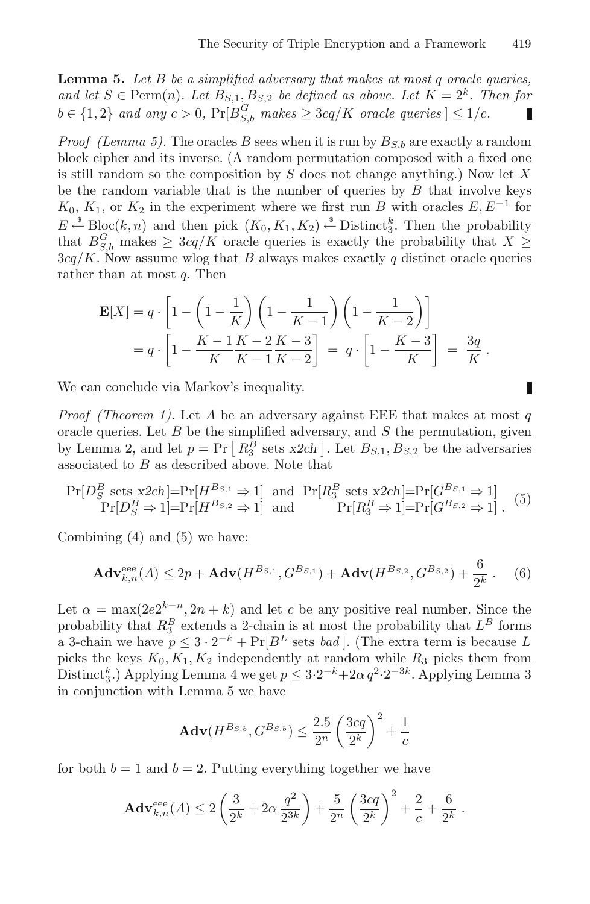**Lemma 5.** Let B be a simplified adversary that makes at most q oracle queries, and let  $S \in \text{Perm}(n)$ . Let  $B_{S,1}, B_{S,2}$  be defined as above. Let  $K = 2^k$ . Then for  $b \in \{1,2\}$  and any  $c > 0$ ,  $\Pr[B_{S,b}^G$  makes  $\geq 3cq/K$  oracle queries  $] \leq 1/c$ . п

*Proof (Lemma 5).* The oracles B sees when it is run by  $B_{S,b}$  are exactly a random block cipher and its inverse. (A random permutation composed with a fixed one is still random so the composition by  $S$  does not change anything.) Now let  $X$ be the random variable that is the number of queries by  $B$  that involve keys  $K_0, K_1$ , or  $K_2$  in the experiment where we first run B with oracles  $E, E^{-1}$  for  $E \stackrel{\hspace{1.1em}\mathsf{\scriptscriptstyle\$}}{\leftarrow} \text{Block}(k,n)$  and then pick  $(K_0, K_1, K_2) \stackrel{\hspace{1.1em}\mathsf{\scriptscriptstyle\$}}{\leftarrow} \text{Distinct}_3^k$ . Then the probability that  $B_{S,b}^G$  makes  $\geq 3cq/K$  oracle queries is exactly the probability that  $X \geq$  $3cq/K$ . Now assume wlog that B always makes exactly q distinct oracle queries rather than at most  $q$ . Then

$$
\mathbf{E}[X] = q \cdot \left[ 1 - \left( 1 - \frac{1}{K} \right) \left( 1 - \frac{1}{K - 1} \right) \left( 1 - \frac{1}{K - 2} \right) \right]
$$
  
=  $q \cdot \left[ 1 - \frac{K - 1}{K} \frac{K - 2}{K - 1} \frac{K - 3}{K - 2} \right] = q \cdot \left[ 1 - \frac{K - 3}{K} \right] = \frac{3q}{K}.$ 

We can conclude via Markov's inequality.

*Proof (Theorem 1).* Let A be an adversary against EEE that makes at most q oracle queries. Let  $B$  be the simplified adversary, and  $S$  the permutation, given by Lemma 2, and let  $p = Pr\left[R_3^B \text{ sets } x2ch\right]$ . Let  $B_{S,1}, B_{S,2}$  be the adversaries associated to B as described above. Note that

$$
\Pr[D_S^B \text{ sets } x2ch] = \Pr[H^{B_{S,1}} \Rightarrow 1] \text{ and } \Pr[R_3^B \text{ sets } x2ch] = \Pr[G^{B_{S,1}} \Rightarrow 1] \Pr[D_S^B \Rightarrow 1] = \Pr[H^{B_{S,2}} \Rightarrow 1] \text{ and } \Pr[R_3^B \Rightarrow 1] = \Pr[G^{B_{S,2}} \Rightarrow 1] \text{ . (5)}
$$

Combining (4) and (5) we have:

$$
\mathbf{Adv}_{k,n}^{\text{eee}}(A) \le 2p + \mathbf{Adv}(H^{B_{S,1}}, G^{B_{S,1}}) + \mathbf{Adv}(H^{B_{S,2}}, G^{B_{S,2}}) + \frac{6}{2^k} .
$$
 (6)

Let  $\alpha = \max(2e^{k-n}, 2n+k)$  and let c be any positive real number. Since the probability that  $R_3^B$  extends a 2-chain is at most the probability that  $L^B$  forms a 3-chain we have  $p \leq 3 \cdot 2^{-k} + \Pr[B^L \text{ sets } bad]$ . (The extra term is because L picks the keys  $K_0, K_1, K_2$  independently at random while  $R_3$  picks them from Distinct<sup>k</sup><sub>3</sub>.) Applying Lemma 4 we get  $p \leq 3 \cdot 2^{-k} + 2\alpha q^2 \cdot 2^{-3k}$ . Applying Lemma 3 in conjunction with Lemma 5 we have

$$
Adv(H^{B_{S,b}}, G^{B_{S,b}}) \le \frac{2.5}{2^n} \left(\frac{3cq}{2^k}\right)^2 + \frac{1}{c}
$$

for both  $b = 1$  and  $b = 2$ . Putting everything together we have

$$
\mathbf{Adv}_{k,n}^{\text{eee}}(A) \le 2\left(\frac{3}{2^k} + 2\alpha \frac{q^2}{2^{3k}}\right) + \frac{5}{2^n} \left(\frac{3cq}{2^k}\right)^2 + \frac{2}{c} + \frac{6}{2^k}.
$$

$$
\mathsf I
$$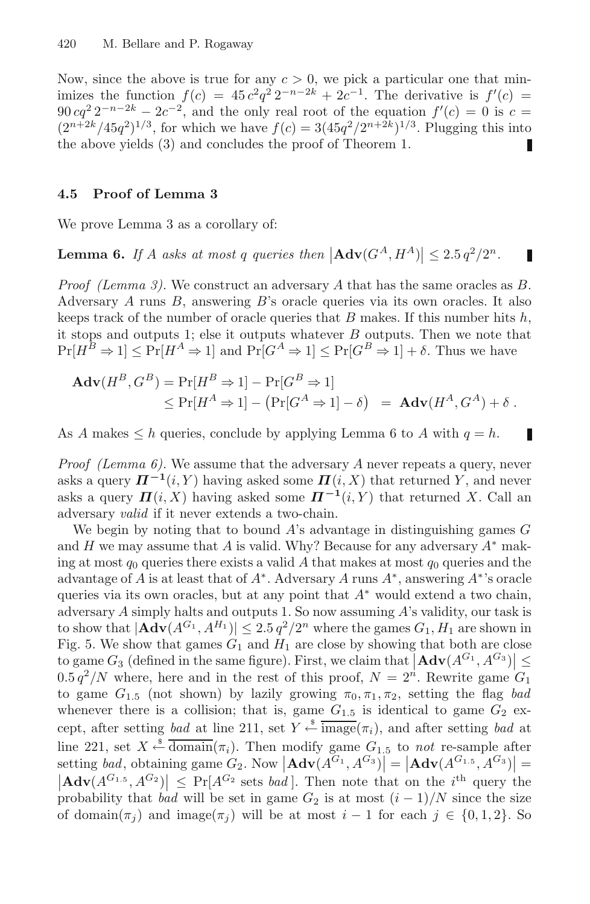Now, since the above is true for any  $c > 0$ , we pick a particular one that minimizes the function  $f(c) = 45 c^2 q^2 2^{-n-2k} + 2c^{-1}$ . The derivative is  $f'(c) =$  $90 \cdot cq^2 \cdot 2^{-n-2k} - 2c^{-2}$ , and the only real root of the equation  $f'(c) = 0$  is  $c =$  $(2^{n+2k}/45q^2)^{1/3}$ , for which we have  $f(c) = 3(45q^2/2^{n+2k})^{1/3}$ . Plugging this into the above yields (3) and concludes the proof of Theorem 1. П

#### **4.5 Proof of Lemma 3**

We prove Lemma 3 as a corollary of:

**Lemma 6.** If A asks at most q queries then  $|\text{Adv}(G^A, H^A)| \leq 2.5 q^2 / 2^n$ . п

*Proof (Lemma 3).* We construct an adversary A that has the same oracles as B. Adversary A runs B, answering B's oracle queries via its own oracles. It also keeps track of the number of oracle queries that B makes. If this number hits  $h$ , it stops and outputs 1; else it outputs whatever  $B$  outputs. Then we note that  $Pr[H^B \Rightarrow 1] \leq Pr[H^A \Rightarrow 1]$  and  $Pr[G^A \Rightarrow 1] \leq Pr[G^B \Rightarrow 1] + \delta$ . Thus we have

$$
\mathbf{Adv}(H^B, G^B) = \Pr[H^B \Rightarrow 1] - \Pr[G^B \Rightarrow 1] \leq \Pr[H^A \Rightarrow 1] - (\Pr[G^A \Rightarrow 1] - \delta) = \mathbf{Adv}(H^A, G^A) + \delta.
$$

As A makes  $\leq h$  queries, conclude by applying Lemma 6 to A with  $q = h$ .

П

*Proof (Lemma 6)*. We assume that the adversary  $A$  never repeats a query, never asks a query  $\Pi^{-1}(i, Y)$  having asked some  $\Pi(i, X)$  that returned Y, and never asks a query  $\Pi(i, X)$  having asked some  $\Pi^{-1}(i, Y)$  that returned X. Call an adversary valid if it never extends a two-chain.

We begin by noting that to bound  $A$ 's advantage in distinguishing games  $G$ and H we may assume that A is valid. Why? Because for any adversary  $A^*$  making at most  $q_0$  queries there exists a valid A that makes at most  $q_0$  queries and the advantage of A is at least that of  $A^*$ . Adversary A runs  $A^*$ , answering  $A^*$ 's oracle queries via its own oracles, but at any point that  $A^*$  would extend a two chain, adversary A simply halts and outputs 1. So now assuming A's validity, our task is to show that  $|\mathbf{Adv}(A^{G_1}, A^{H_1})| \leq 2.5 q^2/2^n$  where the games  $G_1, H_1$  are shown in Fig. 5. We show that games  $G_1$  and  $H_1$  are close by showing that both are close to game  $G_3$  (defined in the same figure). First, we claim that  $|\mathbf{Adv}(A^{G_1}, A^{G_3})| \leq$  $0.5 q^2/N$  where, here and in the rest of this proof,  $N = 2<sup>n</sup>$ . Rewrite game  $G_1$ to game  $G_{1.5}$  (not shown) by lazily growing  $\pi_0, \pi_1, \pi_2$ , setting the flag bad whenever there is a collision; that is, game  $G_{1.5}$  is identical to game  $G_2$  except, after setting bad at line 211, set  $Y \stackrel{\$}{\leftarrow} \overline{\text{image}}(\pi_i)$ , and after setting bad at line 221, set  $X \xleftarrow{\$} \overline{\text{domain}}(\pi_i)$ . Then modify game  $G_{1.5}$  to not re-sample after setting *bad*, obtaining game  $G_2$ . Now  $|\mathbf{Adv}(A^{G_1}, A^{G_3})| = |\mathbf{Adv}(A^{G_1,5}, A^{G_3})| = |\mathbf{Adv}(A^{G_1,5}, A^{G_3})|$  <  $\mathbf{Pr}[A^{G_2} \text{ sets } bad]$ . Then note that on the *i*<sup>th</sup> query the  $|\mathbf{Adv}(A^{G_{1.5}}, A^{G_2})| \leq \Pr[A^{G_2} \text{ sets } bad].$  Then note that on the *i*<sup>th</sup> query the probability that bad will be set in game  $G_2$  is at most  $(i - 1)/N$  since the size of domain $(\pi_i)$  and image $(\pi_i)$  will be at most  $i-1$  for each  $j \in \{0,1,2\}$ . So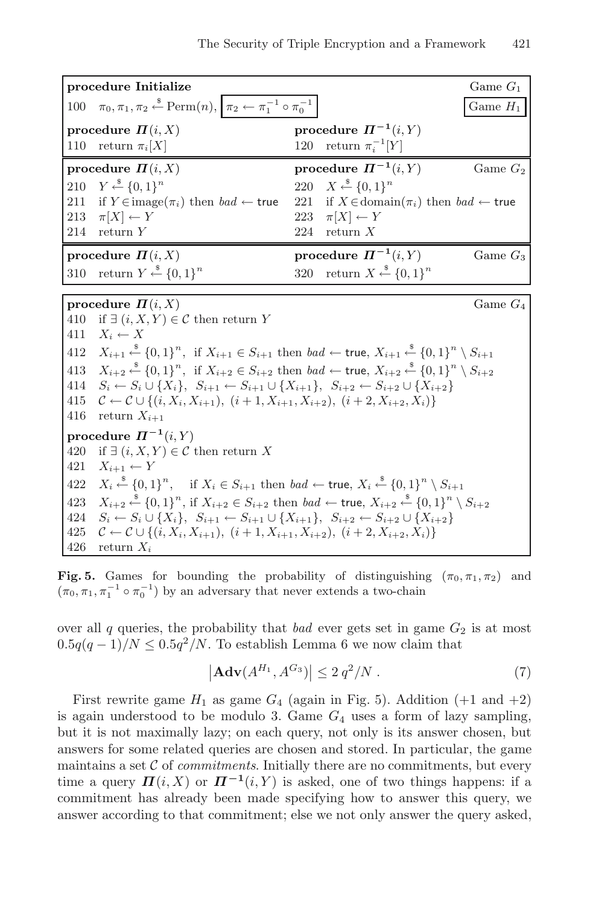|                            | procedure Initialize                                                                                                                                    |                                                                          | Game $G_1$ |  |  |
|----------------------------|---------------------------------------------------------------------------------------------------------------------------------------------------------|--------------------------------------------------------------------------|------------|--|--|
| 100                        | $\pi_0, \pi_1, \pi_2 \stackrel{\hspace{0.1em}\mathsf{\scriptscriptstyle\$}}{\leftarrow} \text{Perm}(n),  \pi_2 \leftarrow \pi_1^{-1} \circ \pi_0^{-1} $ |                                                                          | Game $H_1$ |  |  |
|                            | procedure $\Pi(i, X)$                                                                                                                                   | procedure $\Pi^{-1}(i,Y)$                                                |            |  |  |
| 110                        | return $\pi_i[X]$                                                                                                                                       | return $\pi_i^{-1}[Y]$<br>120                                            |            |  |  |
|                            | procedure $\Pi(i, X)$                                                                                                                                   | procedure $\Pi^{-1}(i, Y)$                                               | Game $G_2$ |  |  |
| 210                        | $Y \xleftarrow{\$} \{0,1\}^n$                                                                                                                           | 220 $X \stackrel{\$}{\leftarrow} \{0,1\}^n$                              |            |  |  |
| 211                        | if $Y \in \text{image}(\pi_i)$ then $bad \leftarrow \text{true}$                                                                                        | 221<br>if $X \in \text{domain}(\pi_i)$ then $bad \leftarrow \text{true}$ |            |  |  |
| 213                        | $\pi[X] \leftarrow Y$                                                                                                                                   | $\pi[X] \leftarrow Y$<br>223                                             |            |  |  |
| 214                        | return Y                                                                                                                                                | 224<br>return $X$                                                        |            |  |  |
|                            | procedure $\Pi(i, X)$                                                                                                                                   | procedure $\Pi^{-1}(i, Y)$                                               | Game $G_3$ |  |  |
| 310                        | return $Y \stackrel{\$}{\leftarrow} \{0,1\}^n$                                                                                                          | 320 return $X \stackrel{\$}{\leftarrow} \{0,1\}^n$                       |            |  |  |
|                            |                                                                                                                                                         |                                                                          |            |  |  |
|                            | procedure $\Pi(i, X)$                                                                                                                                   |                                                                          | Game $G_4$ |  |  |
| 410<br>411                 | if $\exists$ $(i, X, Y) \in \mathcal{C}$ then return Y                                                                                                  |                                                                          |            |  |  |
|                            | $X_i \leftarrow X$                                                                                                                                      |                                                                          |            |  |  |
| 412                        | $X_{i+1} \xleftarrow{\$} \{0,1\}^n$ , if $X_{i+1} \in S_{i+1}$ then $bad \leftarrow$ true, $X_{i+1} \xleftarrow{\$} \{0,1\}^n \setminus S_{i+1}$        |                                                                          |            |  |  |
| 413                        | $X_{i+2} \xleftarrow{\$} \{0,1\}^n$ , if $X_{i+2} \in S_{i+2}$ then $bad \leftarrow$ true, $X_{i+2} \xleftarrow{\$} \{0,1\}^n \setminus S_{i+2}$        |                                                                          |            |  |  |
|                            | 414<br>$S_i \leftarrow S_i \cup \{X_i\}, S_{i+1} \leftarrow S_{i+1} \cup \{X_{i+1}\}, S_{i+2} \leftarrow S_{i+2} \cup \{X_{i+2}\}\$                     |                                                                          |            |  |  |
| 415                        | $\mathcal{C} \leftarrow \mathcal{C} \cup \{(i, X_i, X_{i+1}), (i+1, X_{i+1}, X_{i+2}), (i+2, X_{i+2}, X_i)\}\$                                          |                                                                          |            |  |  |
|                            | 416<br>return $X_{i+1}$                                                                                                                                 |                                                                          |            |  |  |
| procedure $\Pi^{-1}(i, Y)$ |                                                                                                                                                         |                                                                          |            |  |  |
| 420                        | if $\exists$ $(i, X, Y) \in \mathcal{C}$ then return X                                                                                                  |                                                                          |            |  |  |
| 421                        | $X_{i+1} \leftarrow Y$                                                                                                                                  |                                                                          |            |  |  |
| 422                        | $X_i \xleftarrow{\$} \{0,1\}^n$ , if $X_i \in S_{i+1}$ then $bad \leftarrow \text{true}, X_i \xleftarrow{\$} \{0,1\}^n \setminus S_{i+1}$               |                                                                          |            |  |  |
|                            | $X_{i+2} \xleftarrow{\$} \{0,1\}^n$ , if $X_{i+2} \in S_{i+2}$ then $bad \leftarrow$ true, $X_{i+2} \xleftarrow{\$} \{0,1\}^n \setminus S_{i+2}$<br>423 |                                                                          |            |  |  |
| 424                        | $S_i \leftarrow S_i \cup \{X_i\}, S_{i+1} \leftarrow S_{i+1} \cup \{X_{i+1}\}, S_{i+2} \leftarrow S_{i+2} \cup \{X_{i+2}\}\$                            |                                                                          |            |  |  |
| 425                        | $\mathcal{C} \leftarrow \mathcal{C} \cup \{(i, X_i, X_{i+1}), (i+1, X_{i+1}, X_{i+2}), (i+2, X_{i+2}, X_i)\}\$                                          |                                                                          |            |  |  |
| 426                        | return $X_i$                                                                                                                                            |                                                                          |            |  |  |

**Fig. 5.** Games for bounding the probability of distinguishing  $(\pi_0, \pi_1, \pi_2)$  and  $(\pi_0, \pi_1, \pi_1^{-1} \circ \pi_0^{-1})$  by an adversary that never extends a two-chain

over all  $q$  queries, the probability that bad ever gets set in game  $G_2$  is at most  $0.5q(q-1)/N \leq 0.5q^2/N$ . To establish Lemma 6 we now claim that

$$
\left|\mathbf{Adv}(A^{H_1}, A^{G_3})\right| \le 2\,q^2/N\;.\tag{7}
$$

First rewrite game  $H_1$  as game  $G_4$  (again in Fig. 5). Addition (+1 and +2) is again understood to be modulo 3. Game  $G_4$  uses a form of lazy sampling, but it is not maximally lazy; on each query, not only is its answer chosen, but answers for some related queries are chosen and stored. In particular, the game maintains a set  $C$  of *commitments*. Initially there are no commitments, but every time a query  $\Pi(i, X)$  or  $\Pi^{-1}(i, Y)$  is asked, one of two things happens: if a commitment has already been made specifying how to answer this query, we answer according to that commitment; else we not only answer the query asked,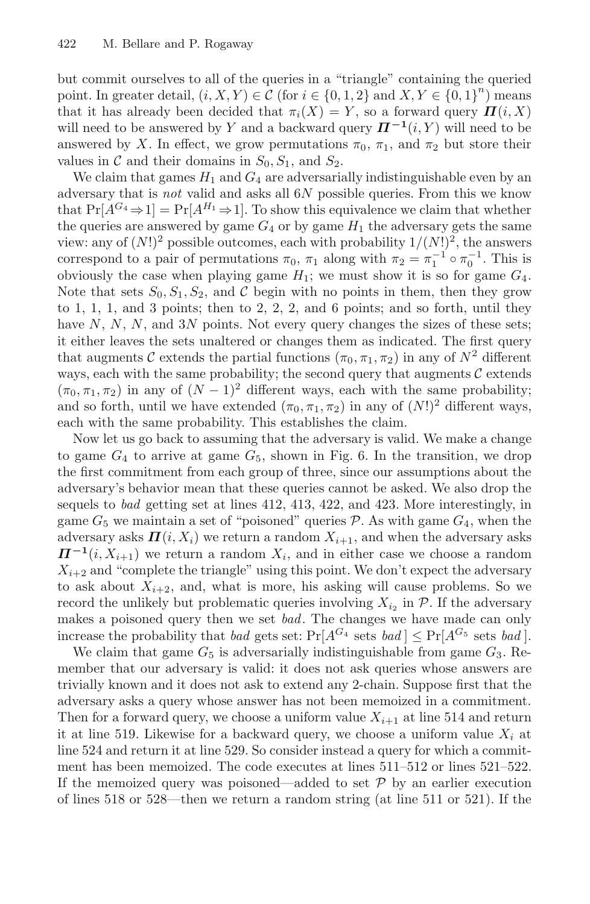but commit ourselves to all of the queries in a "triangle" containing the queried point. In greater detail,  $(i, X, Y) \in \mathcal{C}$  (for  $i \in \{0, 1, 2\}$  and  $X, Y \in \{0, 1\}^n$ ) means that it has already been decided that  $\pi_i(X) = Y$ , so a forward query  $\Pi(i, X)$ will need to be answered by Y and a backward query  $\Pi^{-1}(i, Y)$  will need to be answered by X. In effect, we grow permutations  $\pi_0$ ,  $\pi_1$ , and  $\pi_2$  but store their values in C and their domains in  $S_0, S_1$ , and  $S_2$ .

We claim that games  $H_1$  and  $G_4$  are adversarially indistinguishable even by an adversary that is not valid and asks all 6N possible queries. From this we know that  $Pr[A^{G_4} \Rightarrow 1] = Pr[A^{H_1} \Rightarrow 1]$ . To show this equivalence we claim that whether the queries are answered by game  $G_4$  or by game  $H_1$  the adversary gets the same view: any of  $(N!)^2$  possible outcomes, each with probability  $1/(N!)^2$ , the answers correspond to a pair of permutations  $\pi_0$ ,  $\pi_1$  along with  $\pi_2 = \pi_1^{-1} \circ \pi_0^{-1}$ . This is obviously the case when playing game  $H_1$ ; we must show it is so for game  $G_4$ . Note that sets  $S_0, S_1, S_2$ , and C begin with no points in them, then they grow to 1, 1, 1, and 3 points; then to 2, 2, 2, and 6 points; and so forth, until they have  $N, N, N$ , and  $3N$  points. Not every query changes the sizes of these sets; it either leaves the sets unaltered or changes them as indicated. The first query that augments C extends the partial functions  $(\pi_0, \pi_1, \pi_2)$  in any of  $N^2$  different ways, each with the same probability; the second query that augments  $\mathcal C$  extends  $(\pi_0, \pi_1, \pi_2)$  in any of  $(N-1)^2$  different ways, each with the same probability; and so forth, until we have extended  $(\pi_0, \pi_1, \pi_2)$  in any of  $(N!)^2$  different ways, each with the same probability. This establishes the claim.

Now let us go back to assuming that the adversary is valid. We make a change to game  $G_4$  to arrive at game  $G_5$ , shown in Fig. 6. In the transition, we drop the first commitment from each group of three, since our assumptions about the adversary's behavior mean that these queries cannot be asked. We also drop the sequels to bad getting set at lines 412, 413, 422, and 423. More interestingly, in game  $G_5$  we maintain a set of "poisoned" queries  $P$ . As with game  $G_4$ , when the adversary asks  $\Pi(i, X_i)$  we return a random  $X_{i+1}$ , and when the adversary asks  $\Pi^{-1}(i, X_{i+1})$  we return a random  $X_i$ , and in either case we choose a random  $X_{i+2}$  and "complete the triangle" using this point. We don't expect the adversary to ask about  $X_{i+2}$ , and, what is more, his asking will cause problems. So we record the unlikely but problematic queries involving  $X_{i_2}$  in  $P$ . If the adversary makes a poisoned query then we set bad. The changes we have made can only increase the probability that *bad* gets set:  $Pr[A^{G_4} \text{ sets } bad] \leq Pr[A^{G_5} \text{ sets } bad].$ 

We claim that game  $G_5$  is adversarially indistinguishable from game  $G_3$ . Remember that our adversary is valid: it does not ask queries whose answers are trivially known and it does not ask to extend any 2-chain. Suppose first that the adversary asks a query whose answer has not been memoized in a commitment. Then for a forward query, we choose a uniform value  $X_{i+1}$  at line 514 and return it at line 519. Likewise for a backward query, we choose a uniform value  $X_i$  at line 524 and return it at line 529. So consider instead a query for which a commitment has been memoized. The code executes at lines 511–512 or lines 521–522. If the memoized query was poisoned—added to set  $\mathcal P$  by an earlier execution of lines 518 or 528—then we return a random string (at line 511 or 521). If the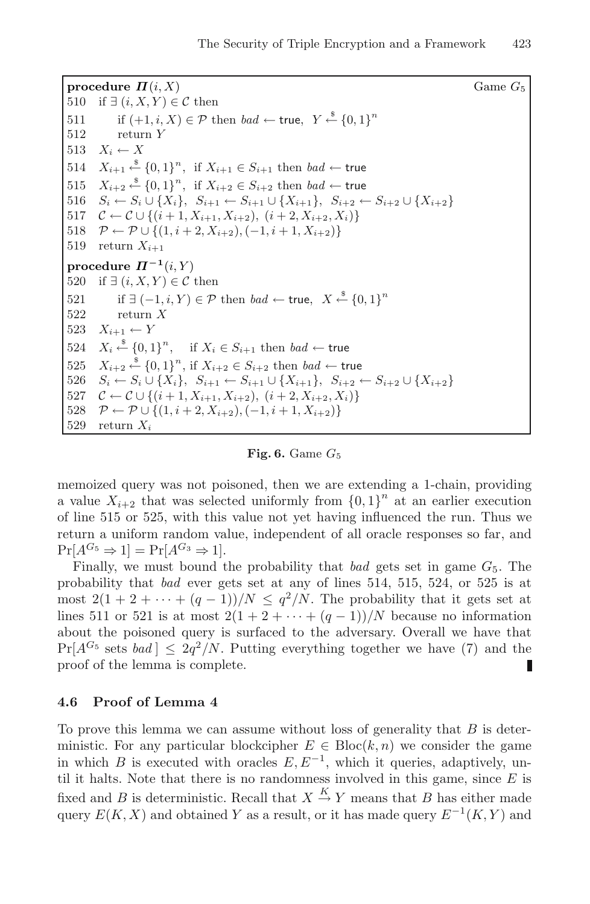**procedure**  $\Pi(i, X)$  Game  $G_5$ 510 if  $\exists (i, X, Y) \in \mathcal{C}$  then 511 if  $(+1, i, X) \in \mathcal{P}$  then  $bad \leftarrow \textsf{true}, Y \stackrel{\$}{\leftarrow} \{0, 1\}^n$ 512 return Y 513  $X_i \leftarrow X$ 514  $X_{i+1} \stackrel{\$}{\leftarrow} \{0,1\}^n$ , if  $X_{i+1} \in S_{i+1}$  then  $bad \leftarrow$  true 515  $X_{i+2} \stackrel{\$}{\leftarrow} \{0,1\}^n$ , if  $X_{i+2} \in S_{i+2}$  then  $bad \leftarrow$  true 516  $S_i \leftarrow S_i \cup \{X_i\}, S_{i+1} \leftarrow S_{i+1} \cup \{X_{i+1}\}, S_{i+2} \leftarrow S_{i+2} \cup \{X_{i+2}\}$ <br>517  $C \leftarrow C \cup \{(i+1, X_{i+1}, X_{i+2}), (i+2, X_{i+2}, X_i)\}$ 517  $C \leftarrow C \cup \{(i+1, X_{i+1}, X_{i+2}), (i+2, X_{i+2}, X_i)\}$ <br>518  $\mathcal{P} \leftarrow \mathcal{P} \cup \{(1, i+2, X_{i+2}), (-1, i+1, X_{i+2})\}$ 518  $\mathcal{P} \leftarrow \mathcal{P} \cup \{(1, i + 2, X_{i+2}), (-1, i + 1, X_{i+2})\}$ <br>519 return  $X_{i+1}$ return  $X_{i+1}$ **procedure**  $\Pi^{-1}(i, Y)$ 520 if  $\exists (i, X, Y) \in \mathcal{C}$  then 521 if  $\exists (-1, i, Y) \in \mathcal{P}$  then  $bad \leftarrow \textsf{true}, X \stackrel{\$}{\leftarrow} \{0, 1\}^n$ 522 return X 523  $X_{i+1} \leftarrow Y$  $524$  $X_i \stackrel{\$}{\leftarrow} \{0,1\}^n$ , if  $X_i$  ∈  $S_{i+1}$  then bad ← true 525  $X_{i+2} \stackrel{\$}{\leftarrow} \{0,1\}^n$ , if  $X_{i+2} \in S_{i+2}$  then  $bad \leftarrow$  true 526  $S_i \leftarrow S_i \cup \{X_i\}, S_{i+1} \leftarrow S_{i+1} \cup \{X_{i+1}\}, S_{i+2} \leftarrow S_{i+2} \cup \{X_{i+2}\}$ <br>527  $\mathcal{C} \leftarrow \mathcal{C} \cup \{(i+1, X_{i+1}, X_{i+2}), (i+2, X_{i+2}, X_i)\}$ 527  $C \leftarrow C \cup \{(i+1, X_{i+1}, X_{i+2}), (i+2, X_{i+2}, X_i)\}$ <br>528  $\mathcal{P} \leftarrow \mathcal{P} \cup \{(1, i+2, X_{i+2}), (-1, i+1, X_{i+2})\}$ 528  $\mathcal{P} \leftarrow \mathcal{P} \cup \{(1, i + 2, X_{i+2}), (-1, i + 1, X_{i+2})\}$ <br>529 return  $X_i$ return  $X_i$ 

#### **Fig. 6.** Game  $G_5$

memoized query was not poisoned, then we are extending a 1-chain, providing a value  $X_{i+2}$  that was selected uniformly from  ${0,1}^n$  at an earlier execution of line 515 or 525, with this value not yet having influenced the run. Thus we return a uniform random value, independent of all oracle responses so far, and  $Pr[A^{G_5} \Rightarrow 1] = Pr[A^{G_3} \Rightarrow 1].$ 

Finally, we must bound the probability that bad gets set in game  $G_5$ . The probability that bad ever gets set at any of lines 514, 515, 524, or 525 is at most  $2(1 + 2 + \cdots + (q - 1))/N \leq q^2/N$ . The probability that it gets set at lines 511 or 521 is at most  $2(1 + 2 + \cdots + (q - 1))/N$  because no information about the poisoned query is surfaced to the adversary. Overall we have that  $Pr[A^{G_5} \text{ sets } bad] \leq 2q^2/N$ . Putting everything together we have (7) and the proof of the lemma is complete. L

#### **4.6 Proof of Lemma 4**

To prove this lemma we can assume without loss of generality that  $B$  is deterministic. For any particular blockcipher  $E \in \text{Bloc}(k, n)$  we consider the game in which B is executed with oracles  $E, E^{-1}$ , which it queries, adaptively, until it halts. Note that there is no randomness involved in this game, since  $E$  is fixed and B is deterministic. Recall that  $X \stackrel{K}{\to} Y$  means that B has either made query  $E(K, X)$  and obtained Y as a result, or it has made query  $E^{-1}(K, Y)$  and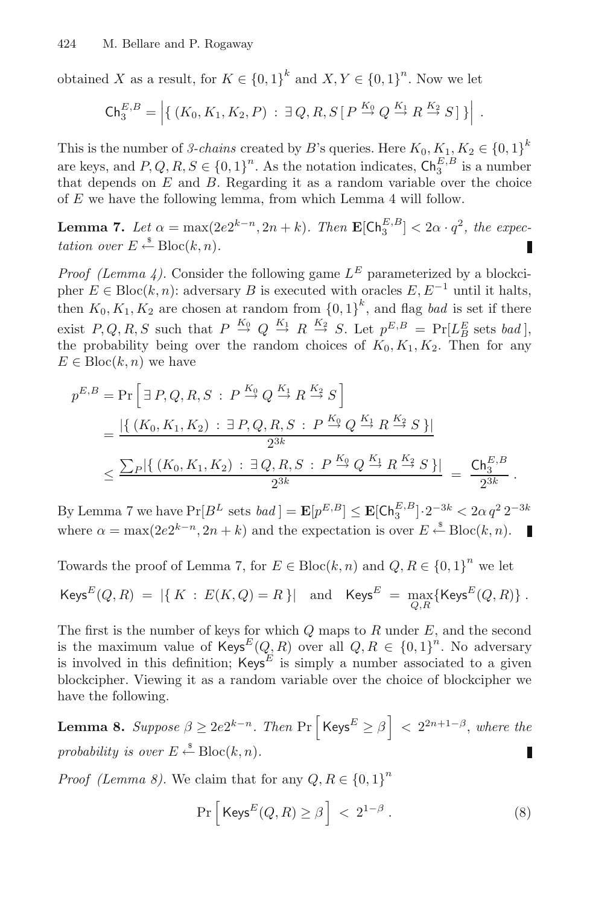obtained X as a result, for  $K \in \{0,1\}^k$  and  $X, Y \in \{0,1\}^n$ . Now we let

$$
\mathsf{Ch}_3^{E,B}=\left|\left\{\left(K_0,K_1,K_2,P\right)\,:\,\exists\,Q,R,S\,[\,P\stackrel{K_0}{\to}Q\stackrel{K_1}{\to}R\stackrel{K_2}{\to}S]\,\right\}\right|.
$$

This is the number of 3-chains created by B's queries. Here  $K_0, K_1, K_2 \in \{0,1\}^k$ are keys, and  $P, Q, R, S \in \{0, 1\}^n$ . As the notation indicates,  $\mathsf{Ch}_3^{E, B}$  is a number that depends on  $E$  and  $B$ . Regarding it as a random variable over the choice of E we have the following lemma, from which Lemma 4 will follow.

**Lemma 7.** Let  $\alpha = \max(2e2^{k-n}, 2n+k)$ . Then  $\mathbf{E}[\mathsf{Ch}_3^{E,B}] < 2\alpha \cdot q^2$ , the expectation over  $E \stackrel{\text{*}}{\leftarrow} \text{Bloc}(k, n)$ . П

*Proof (Lemma 4).* Consider the following game  $L^E$  parameterized by a blockci-pher  $E \in \text{Bloc}(k, n)$ : adversary B is executed with oracles  $E, E^{-1}$  until it halts, then  $K_0, K_1, K_2$  are chosen at random from  $\{0, 1\}^k$ , and flag *bad* is set if there exist  $P, Q, R, S$  such that  $P \stackrel{K_0}{\rightarrow} Q \stackrel{K_1}{\rightarrow} R \stackrel{K_2}{\rightarrow} S$ . Let  $p^{E,B} = \Pr[L_B^E \text{ sets } bad],$ the probability being over the random choices of  $K_0, K_1, K_2$ . Then for any  $E \in \text{Block}(k, n)$  we have

$$
p^{E,B} = \Pr\left[\exists P, Q, R, S : P \stackrel{K_0}{\to} Q \stackrel{K_1}{\to} R \stackrel{K_2}{\to} S\right]
$$
  
= 
$$
\frac{|\{(K_0, K_1, K_2) : \exists P, Q, R, S : P \stackrel{K_0}{\to} Q \stackrel{K_1}{\to} R \stackrel{K_2}{\to} S\}|}{2^{3k}}
$$
  

$$
\leq \frac{\sum_{P} |\{(K_0, K_1, K_2) : \exists Q, R, S : P \stackrel{K_0}{\to} Q \stackrel{K_1}{\to} R \stackrel{K_2}{\to} S\}|}{2^{3k}} = \frac{\mathsf{Ch}_3^{E,B}}{2^{3k}}.
$$

By Lemma 7 we have  $Pr[B^L \text{ sets } bad] = \mathbf{E}[p^{E,B}] \leq \mathbf{E}[\mathsf{Ch}_3^{E,B}] \cdot 2^{-3k} < 2\alpha q^2 2^{-3k}$ where  $\alpha = \max(2e^{k-n}, 2n+k)$  and the expectation is over  $E \stackrel{\text{s}}{\leftarrow} \text{Block}(k, n)$ .

Towards the proof of Lemma 7, for  $E \in \text{Bloc}(k, n)$  and  $Q, R \in \{0, 1\}^n$  we let

$$
\mathsf{Keys}^E(Q,R) = |\{ K : E(K,Q) = R \}| \text{ and } \mathsf{Keys}^E = \max_{Q,R} \{ \mathsf{Keys}^E(Q,R) \}.
$$

The first is the number of keys for which  $Q$  maps to  $R$  under  $E$ , and the second is the maximum value of  $\mathsf{Keys}^E(Q, R)$  over all  $Q, R \in \{0,1\}^n$ . No adversary is involved in this definition;  $Keys^E$  is simply a number associated to a given blockcipher. Viewing it as a random variable over the choice of blockcipher we have the following.

**Lemma 8.** Suppose  $\beta \geq 2e2^{k-n}$ . Then  $\Pr \left[\text{Keys}^E \geq \beta \right] < 2^{2n+1-\beta}$ , where the probability is over  $E \stackrel{\text{*}}{\leftarrow} \text{Block}(k, n)$ . L

*Proof (Lemma 8)*. We claim that for any  $Q, R \in \{0, 1\}^n$ 

$$
\Pr\left[\text{Keys}^E(Q,R) \ge \beta\right] < 2^{1-\beta} \,. \tag{8}
$$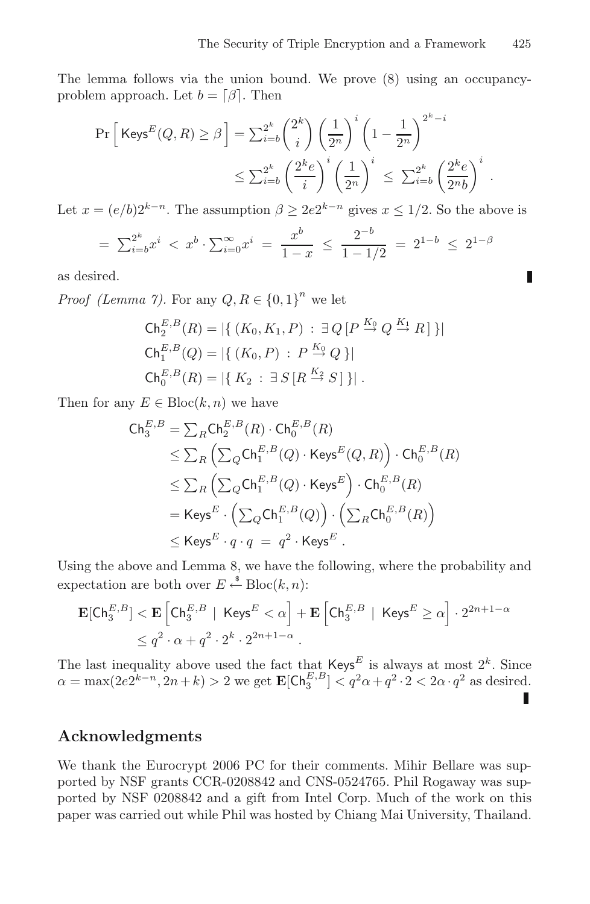.

П

The lemma follows via the union bound. We prove (8) using an occupancyproblem approach. Let  $b = \lfloor \beta \rfloor$ . Then

$$
\Pr\left[\text{Keys}^E(Q, R) \ge \beta\right] = \sum_{i=b}^{2^k} \binom{2^k}{i} \left(\frac{1}{2^n}\right)^i \left(1 - \frac{1}{2^n}\right)^{2^k - i}
$$

$$
\le \sum_{i=b}^{2^k} \left(\frac{2^k e}{i}\right)^i \left(\frac{1}{2^n}\right)^i \le \sum_{i=b}^{2^k} \left(\frac{2^k e}{2^n b}\right)^i
$$

Let  $x = (e/b)2^{k-n}$ . The assumption  $\beta \geq 2e2^{k-n}$  gives  $x \leq 1/2$ . So the above is

$$
= \sum_{i=b}^{2^k} x^i < x^b \cdot \sum_{i=0}^{\infty} x^i = \frac{x^b}{1-x} \le \frac{2^{-b}}{1-1/2} = 2^{1-b} \le 2^{1-\beta}
$$

as desired.

*Proof (Lemma 7)*. For any  $Q, R \in \{0, 1\}^n$  we let

$$
\begin{aligned} \mathsf{Ch}_2^{E,B}(R) &= |\{ \, (K_0, K_1, P) \, : \, \exists \, Q \, [P \xrightarrow{K_0} Q \xrightarrow{K_1} R] \, \} | \\ \mathsf{Ch}_1^{E,B}(Q) &= |\{ \, (K_0, P) \, : \, P \xrightarrow{K_0} Q \, \} | \\ \mathsf{Ch}_0^{E,B}(R) &= |\{ \, K_2 \, : \, \exists \, S \, [R \xrightarrow{K_2} S] \, \} | \, . \end{aligned}
$$

Then for any  $E \in \text{Bloc}(k, n)$  we have

$$
\begin{aligned} \mathsf{Ch}_3^{E,B} &= \sum_R \mathsf{Ch}_2^{E,B}(R) \cdot \mathsf{Ch}_0^{E,B}(R) \\ &\leq \sum_R \left( \sum_Q \mathsf{Ch}_1^{E,B}(Q) \cdot \mathsf{Keys}^E(Q,R) \right) \cdot \mathsf{Ch}_0^{E,B}(R) \\ &\leq \sum_R \left( \sum_Q \mathsf{Ch}_1^{E,B}(Q) \cdot \mathsf{Keys}^E \right) \cdot \mathsf{Ch}_0^{E,B}(R) \\ &= \mathsf{Keys}^E \cdot \left( \sum_Q \mathsf{Ch}_1^{E,B}(Q) \right) \cdot \left( \sum_R \mathsf{Ch}_0^{E,B}(R) \right) \\ &\leq \mathsf{Keys}^E \cdot q \cdot q \ = \ q^2 \cdot \mathsf{Keys}^E \ . \end{aligned}
$$

Using the above and Lemma 8, we have the following, where the probability and expectation are both over  $E \stackrel{\text{*}}{\leftarrow} \text{Bloc}(k, n)$ :

$$
\begin{aligned} \mathbf{E}[\mathsf{Ch}_3^{E,B}] &< \mathbf{E}\left[\mathsf{Ch}_3^{E,B} \mid \,\mathsf{K} \mathsf{e}\mathsf{y}\mathsf{s}^E < \alpha\right] + \mathbf{E}\left[\mathsf{Ch}_3^{E,B} \mid \,\mathsf{K} \mathsf{e}\mathsf{y}\mathsf{s}^E \ge \alpha\right] \cdot 2^{2n+1-\alpha} \\ &\le q^2 \cdot \alpha + q^2 \cdot 2^k \cdot 2^{2n+1-\alpha} \,. \end{aligned}
$$

The last inequality above used the fact that  $\text{Keys}^E$  is always at most  $2^k$ . Since  $\alpha = \max(2e^{2k-n}, 2n+k) > 2$  we get  $\mathbf{E}[\mathsf{Ch}_3^{E,B}] < q^2\alpha + q^2 \cdot 2 < 2\alpha \cdot q^2$  as desired.

#### **Acknowledgments**

We thank the Eurocrypt 2006 PC for their comments. Mihir Bellare was supported by NSF grants CCR-0208842 and CNS-0524765. Phil Rogaway was supported by NSF 0208842 and a gift from Intel Corp. Much of the work on this paper was carried out while Phil was hosted by Chiang Mai University, Thailand.